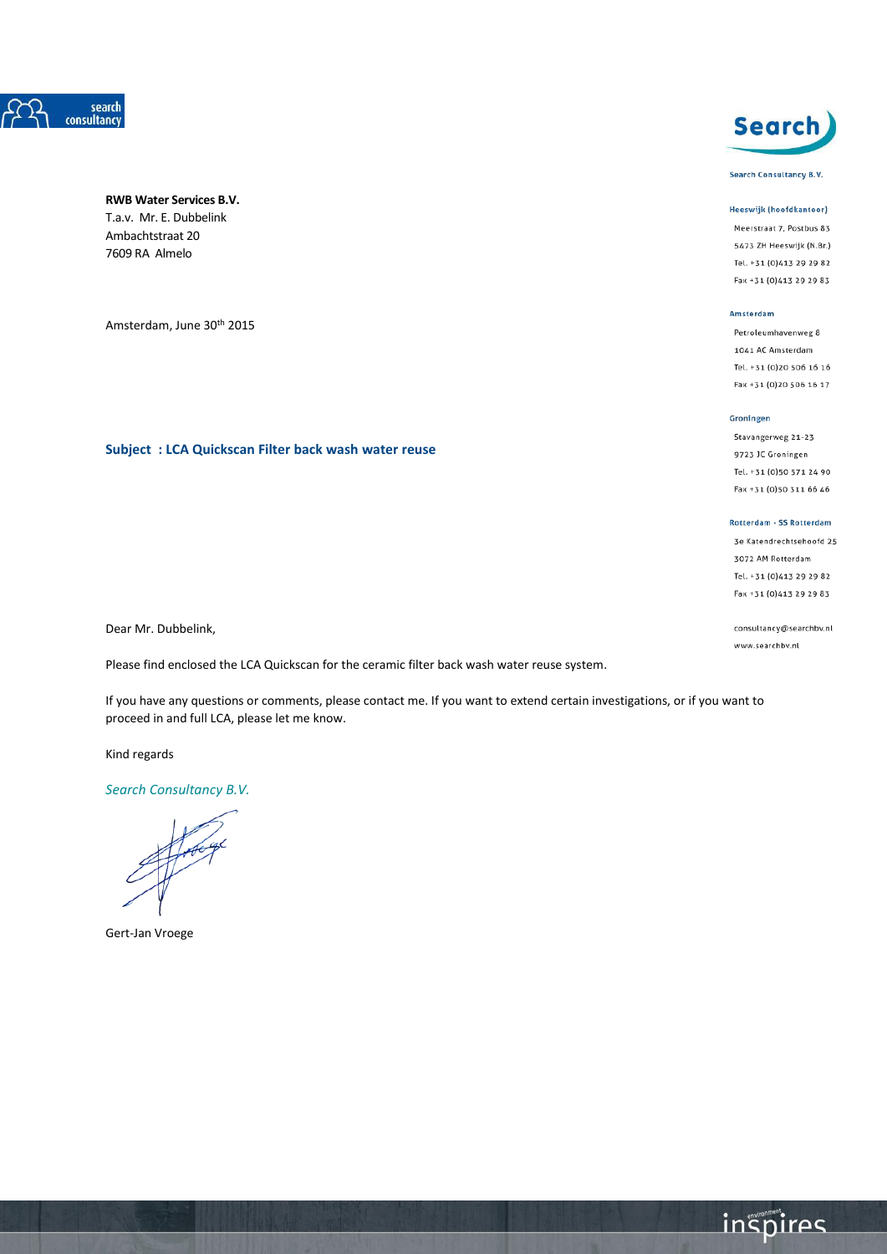

# **RWB Water Services B.V.** T.a.v. Mr. E. Dubbelink

Ambachtstraat 20 7609 RA Almelo

Amsterdam, June 30<sup>th</sup> 2015

# **Subject : LCA Quickscan Filter back wash water reuse**

Dear Mr. Dubbelink,

Please find enclosed the LCA Quickscan for the ceramic filter back wash water reuse system.

If you have any questions or comments, please contact me. If you want to extend certain investigations, or if you want to proceed in and full LCA, please let me know.

Kind regards

*Search Consultancy B.V.*

Gert-Jan Vroege



Search Consultancy B.V.

#### Heeswijk (hoofdkantoor)

Meerstraat 7, Postbus 83 5473 ZH Heeswijk (N.Br.) Tel. +31 (0)413 29 29 82 Fax +31 (0)413 29 29 83

#### Amsterdam

Petroleumhavenweg 8 1041 AC Amsterdam Tel. +31 (0)20 506 16 16 Fax +31 (0)20 506 16 17

#### Groningen

Stavangerweg 21-23 9723 JC Groningen Tel. +31 (0)50 571 24 90 Fax +31 (0)50 311 66 46

#### Rotterdam - SS Rotterdam

3e Katendrechtsehoofd 25 3072 AM Rotterdam Tel. +31 (0)413 29 29 82 Fax +31 (0)413 29 29 83

consultancy@searchbv.nl www.searchbv.nl

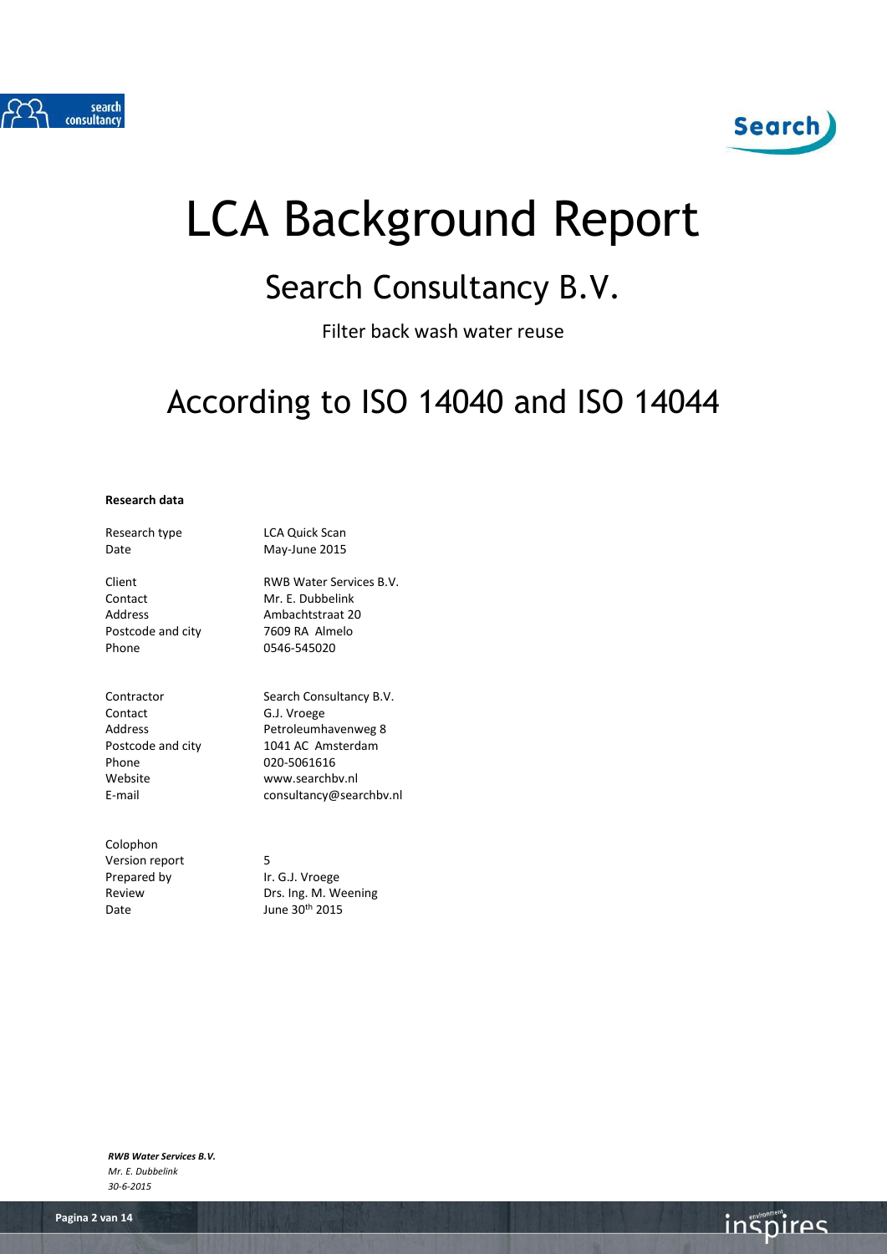



# LCA Background Report

# Search Consultancy B.V.

Filter back wash water reuse

# According to ISO 14040 and ISO 14044

### **Research data**

| Research type     | <b>LCA Quick Scan</b>   |
|-------------------|-------------------------|
| Date              | May-June 2015           |
| Client            | RWB Water Services B.V. |
| Contact           | Mr. F. Dubbelink        |
| Address           | Ambachtstraat 20        |
| Postcode and city | 7609 RA Almelo          |
| Phone             | 0546-545020             |
|                   |                         |
| Contractor        | Search Consultancy B.V. |
| Contact           | G.J. Vroege             |
| Address           | Petroleumhavenweg 8     |

Phone 020-5061616<br>Website www.searchb Website www.searchbv.nl<br>E-mail consultancy@sea

Colophon Version report 5 Prepared by Ir. G.J. Vroege Date June 30<sup>th</sup> 2015

Postcode and city 1041 AC Amsterdam

consultancy@searchbv.nl

Review Drs. Ing. M. Weening

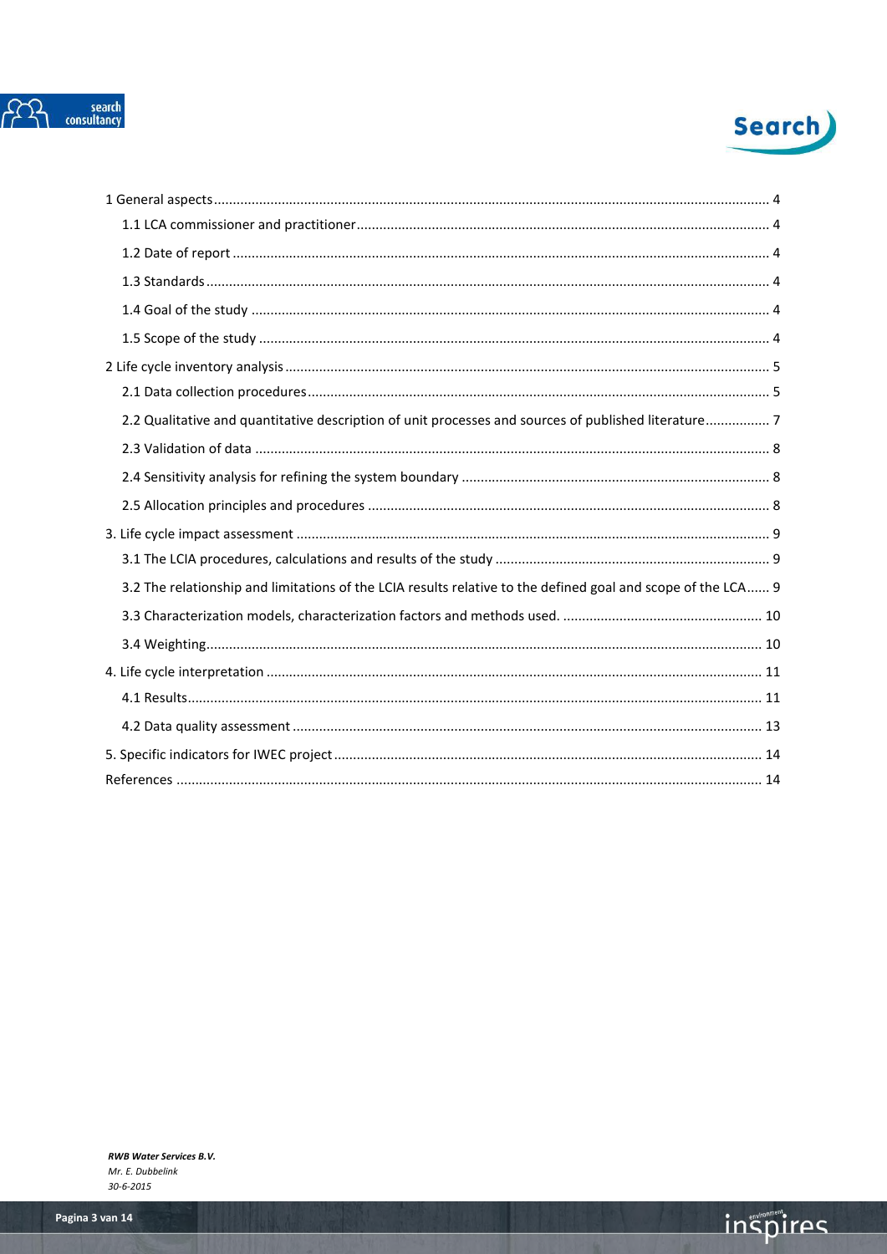



| 2.2 Qualitative and quantitative description of unit processes and sources of published literature7          |
|--------------------------------------------------------------------------------------------------------------|
|                                                                                                              |
|                                                                                                              |
|                                                                                                              |
|                                                                                                              |
|                                                                                                              |
| 3.2 The relationship and limitations of the LCIA results relative to the defined goal and scope of the LCA 9 |
|                                                                                                              |
|                                                                                                              |
|                                                                                                              |
|                                                                                                              |
|                                                                                                              |
|                                                                                                              |
|                                                                                                              |

inspires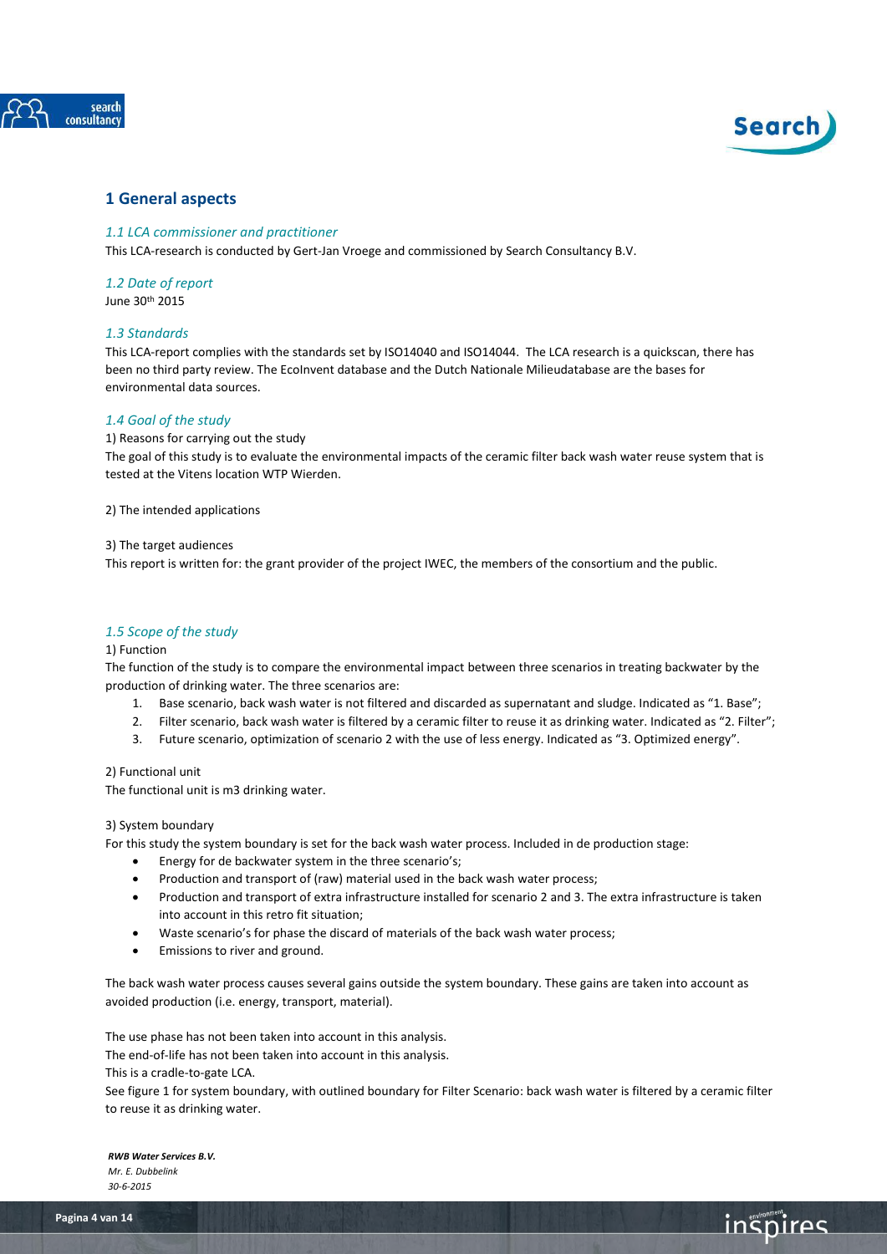



**inspires** 

# <span id="page-3-1"></span><span id="page-3-0"></span>**1 General aspects**

### *1.1 LCA commissioner and practitioner*

<span id="page-3-2"></span>This LCA-research is conducted by Gert-Jan Vroege and commissioned by Search Consultancy B.V.

# *1.2 Date of report*

<span id="page-3-3"></span>June 30th 2015

# *1.3 Standards*

This LCA-report complies with the standards set by ISO14040 and ISO14044. The LCA research is a quickscan, there has been no third party review. The EcoInvent database and the Dutch Nationale Milieudatabase are the bases for environmental data sources.

# <span id="page-3-4"></span>*1.4 Goal of the study*

1) Reasons for carrying out the study

The goal of this study is to evaluate the environmental impacts of the ceramic filter back wash water reuse system that is tested at the Vitens location WTP Wierden.

2) The intended applications

3) The target audiences

This report is written for: the grant provider of the project IWEC, the members of the consortium and the public.

# <span id="page-3-5"></span>*1.5 Scope of the study*

#### 1) Function

The function of the study is to compare the environmental impact between three scenarios in treating backwater by the production of drinking water. The three scenarios are:

- 1. Base scenario, back wash water is not filtered and discarded as supernatant and sludge. Indicated as "1. Base";
- 2. Filter scenario, back wash water is filtered by a ceramic filter to reuse it as drinking water. Indicated as "2. Filter";
- 3. Future scenario, optimization of scenario 2 with the use of less energy. Indicated as "3. Optimized energy".

# 2) Functional unit

The functional unit is m3 drinking water.

#### 3) System boundary

For this study the system boundary is set for the back wash water process. Included in de production stage:

- Energy for de backwater system in the three scenario's;
- Production and transport of (raw) material used in the back wash water process;
- Production and transport of extra infrastructure installed for scenario 2 and 3. The extra infrastructure is taken into account in this retro fit situation;
- Waste scenario's for phase the discard of materials of the back wash water process;
- Emissions to river and ground.

The back wash water process causes several gains outside the system boundary. These gains are taken into account as avoided production (i.e. energy, transport, material).

The use phase has not been taken into account in this analysis.

The end-of-life has not been taken into account in this analysis.

This is a cradle-to-gate LCA.

See figure 1 for system boundary, with outlined boundary for Filter Scenario: back wash water is filtered by a ceramic filter to reuse it as drinking water.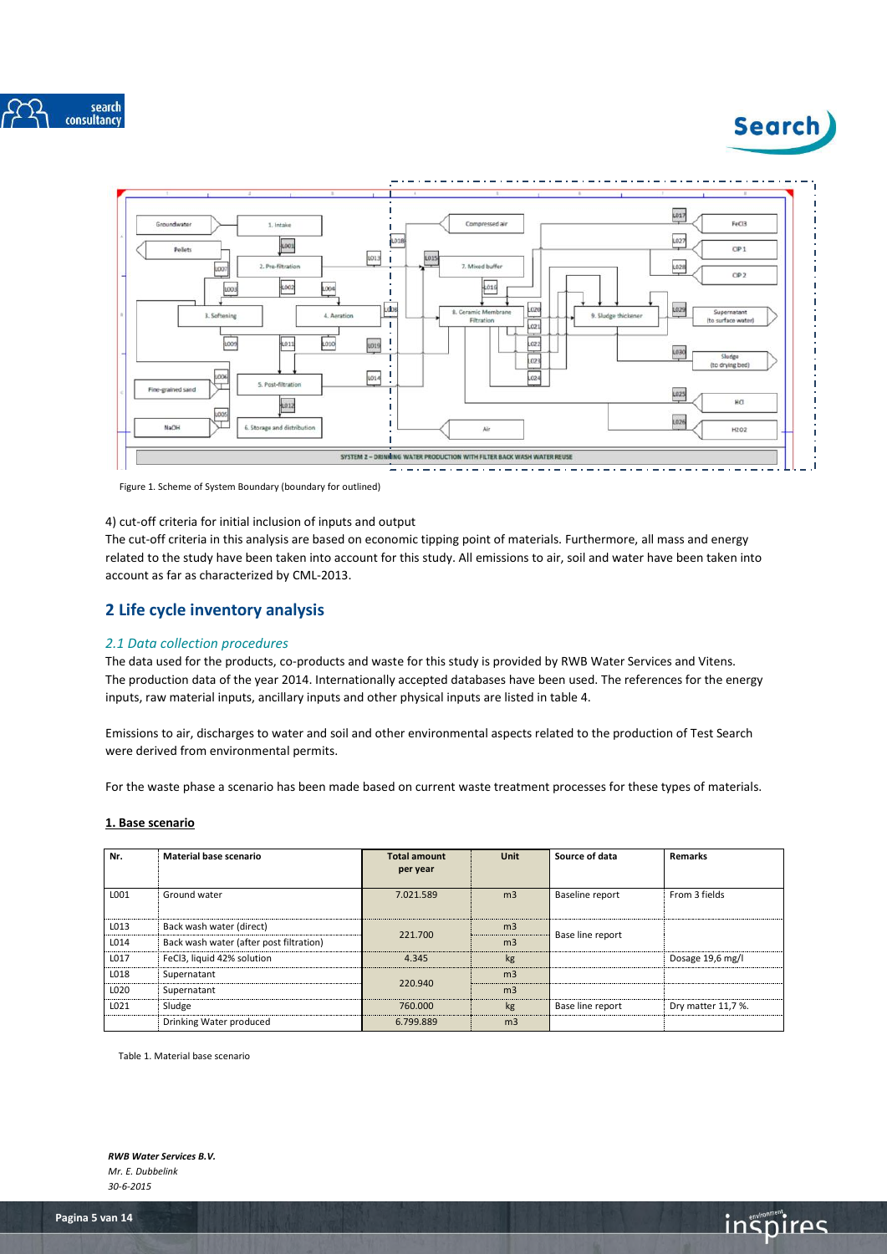





Figure 1. Scheme of System Boundary (boundary for outlined)

#### 4) cut-off criteria for initial inclusion of inputs and output

The cut-off criteria in this analysis are based on economic tipping point of materials. Furthermore, all mass and energy related to the study have been taken into account for this study. All emissions to air, soil and water have been taken into account as far as characterized by CML-2013.

# <span id="page-4-0"></span>**2 Life cycle inventory analysis**

# <span id="page-4-1"></span>*2.1 Data collection procedures*

The data used for the products, co-products and waste for this study is provided by RWB Water Services and Vitens. The production data of the year 2014. Internationally accepted databases have been used. The references for the energy inputs, raw material inputs, ancillary inputs and other physical inputs are listed in table 4.

Emissions to air, discharges to water and soil and other environmental aspects related to the production of Test Search were derived from environmental permits.

For the waste phase a scenario has been made based on current waste treatment processes for these types of materials.

# **1. Base scenario**

| Nr.  | Material base scenario                  | <b>Total amount</b> | <b>Unit</b>    | Source of data   | <b>Remarks</b>     |
|------|-----------------------------------------|---------------------|----------------|------------------|--------------------|
|      |                                         | per year            |                |                  |                    |
| L001 | Ground water                            | 7.021.589           | m <sub>3</sub> | Baseline report  | From 3 fields      |
| L013 | Back wash water (direct)                | 221,700             | m <sub>3</sub> |                  |                    |
| L014 | Back wash water (after post filtration) |                     | m <sub>3</sub> | Base line report |                    |
| L017 | FeCl3, liquid 42% solution              | 4.345               | kg             |                  | Dosage 19,6 mg/l   |
| L018 | Supernatant                             |                     | m <sub>3</sub> |                  |                    |
| L020 | Supernatant                             | 220.940             | m <sub>3</sub> |                  |                    |
| L021 | Sludge                                  | 760,000             | kg             | Base line report | Dry matter 11,7 %. |
|      | Drinking Water produced                 | 6.799.889           | m <sub>3</sub> |                  |                    |

Table 1. Material base scenario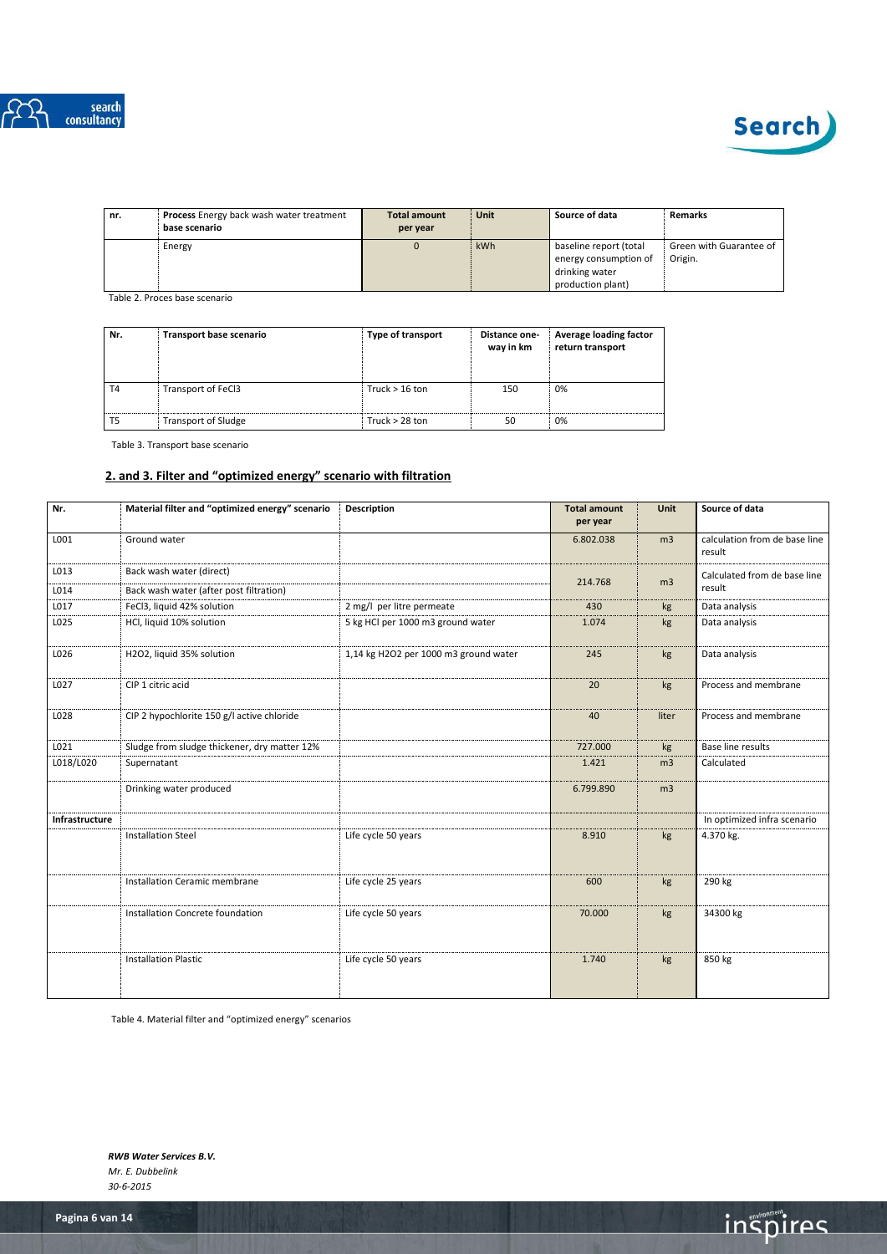



| nr. | <b>Process</b> Energy back wash water treatment<br>base scenario | <b>Total amount</b><br>per year | Unit | Source of data                                                                         | Remarks                            |
|-----|------------------------------------------------------------------|---------------------------------|------|----------------------------------------------------------------------------------------|------------------------------------|
|     | Energy                                                           | $\Omega$                        | kWh  | baseline report (total<br>energy consumption of<br>drinking water<br>production plant) | Green with Guarantee of<br>Origin. |

Table 2. Proces base scenario

| Nr.            | Transport base scenario    | Type of transport | Distance one-<br>way in km | Average loading factor<br>return transport |
|----------------|----------------------------|-------------------|----------------------------|--------------------------------------------|
| T <sub>4</sub> | Transport of FeCl3         | Truck $> 16$ ton  | 150                        | 0%                                         |
| T <sub>5</sub> | <b>Transport of Sludge</b> | Truck $> 28$ ton  | 50                         | 0%                                         |

Table 3. Transport base scenario

# **2. and 3. Filter and "optimized energy" scenario with filtration**

| Nr.            | Material filter and "optimized energy" scenario | <b>Description</b>                    | <b>Total amount</b><br>per year | Unit           | Source of data                          |
|----------------|-------------------------------------------------|---------------------------------------|---------------------------------|----------------|-----------------------------------------|
|                |                                                 |                                       |                                 |                |                                         |
| L001           | Ground water                                    |                                       | 6.802.038                       | m <sub>3</sub> | calculation from de base line<br>result |
| L013           | Back wash water (direct)                        |                                       | 214.768                         | m <sub>3</sub> | Calculated from de base line            |
| L014           | Back wash water (after post filtration)         |                                       |                                 |                | result                                  |
| L017           | FeCl3, liquid 42% solution                      | 2 mg/l per litre permeate             | 430                             | kg             | Data analysis                           |
| L025           | HCl, liquid 10% solution                        | 5 kg HCl per 1000 m3 ground water     | 1.074                           | kg             | Data analysis                           |
| L026           | H2O2, liquid 35% solution                       | 1,14 kg H2O2 per 1000 m3 ground water | 245                             | kg             | Data analysis                           |
| L027           | CIP 1 citric acid                               |                                       | 20                              | kg             | Process and membrane                    |
| L028           | CIP 2 hypochlorite 150 g/l active chloride      |                                       | 40                              | liter          | Process and membrane                    |
| L021           | Sludge from sludge thickener, dry matter 12%    |                                       | 727.000                         | kg             | <b>Base line results</b>                |
| L018/L020      | Supernatant                                     |                                       | 1.421                           | m <sub>3</sub> | Calculated                              |
|                | Drinking water produced                         |                                       | 6.799.890                       | m <sub>3</sub> |                                         |
| Infrastructure |                                                 |                                       |                                 |                | In optimized infra scenario             |
|                | <b>Installation Steel</b>                       | Life cycle 50 years                   | 8.910                           | kg             | 4.370 kg.                               |
|                | Installation Ceramic membrane                   | Life cycle 25 years                   | 600                             | kg             | 290 kg                                  |
|                | Installation Concrete foundation                | Life cycle 50 years                   | 70.000                          | kg             | 34300 kg                                |
|                | <b>Installation Plastic</b>                     | Life cycle 50 years                   | 1.740                           | kg             | 850 kg                                  |

Table 4. Material filter and "optimized energy" scenarios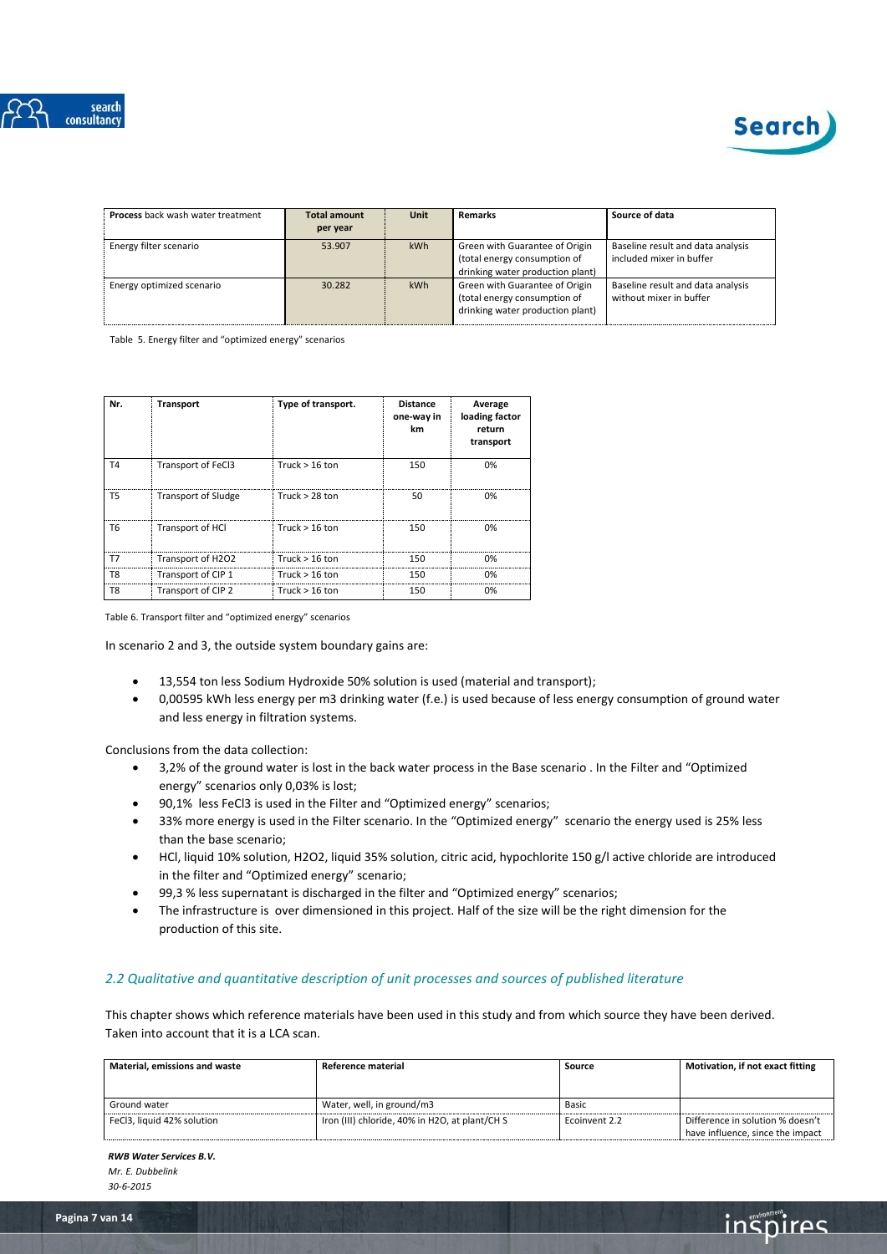



**inspires** 

| <b>Process</b> back wash water treatment | <b>Total amount</b><br>per year | <b>Unit</b> | <b>Remarks</b>                                                                                     | Source of data                                                |
|------------------------------------------|---------------------------------|-------------|----------------------------------------------------------------------------------------------------|---------------------------------------------------------------|
| Energy filter scenario                   | 53.907                          | kWh         | Green with Guarantee of Origin<br>(total energy consumption of<br>drinking water production plant) | Baseline result and data analysis<br>included mixer in buffer |
| Energy optimized scenario                | 30.282                          | kWh         | Green with Guarantee of Origin<br>(total energy consumption of<br>drinking water production plant) | Baseline result and data analysis<br>without mixer in buffer  |

Table 5. Energy filter and "optimized energy" scenarios

| Nr.            | <b>Transport</b>           | Type of transport. | <b>Distance</b><br>one-way in<br>km | Average<br>loading factor<br>return<br>transport |
|----------------|----------------------------|--------------------|-------------------------------------|--------------------------------------------------|
| T <sub>4</sub> | Transport of FeCl3         | Truck $> 16$ ton   | 150                                 | 0%                                               |
| T5             | <b>Transport of Sludge</b> | Truck $> 28$ ton   | 50                                  | 0%                                               |
| T6             | Transport of HCl           | Truck $> 16$ ton   | 150                                 | በ%                                               |
| T7             | Transport of H2O2          | Truck $> 16$ ton   | 150                                 | ሰ%                                               |
| T8             | Transport of CIP 1         | Truck $> 16$ ton   | 150                                 | 0%                                               |
| T8             | Transport of CIP 2         | Truck $> 16$ ton   | 150                                 | 0%                                               |

Table 6. Transport filter and "optimized energy" scenarios

In scenario 2 and 3, the outside system boundary gains are:

- 13,554 ton less Sodium Hydroxide 50% solution is used (material and transport);
- 0,00595 kWh less energy per m3 drinking water (f.e.) is used because of less energy consumption of ground water and less energy in filtration systems.

Conclusions from the data collection:

- 3,2% of the ground water is lost in the back water process in the Base scenario . In the Filter and "Optimized energy" scenarios only 0,03% is lost;
- 90,1% less FeCl3 is used in the Filter and "Optimized energy" scenarios;
- 33% more energy is used in the Filter scenario. In the "Optimized energy" scenario the energy used is 25% less than the base scenario;
- HCl, liquid 10% solution, H2O2, liquid 35% solution, citric acid, hypochlorite 150 g/l active chloride are introduced in the filter and "Optimized energy" scenario;
- 99,3 % less supernatant is discharged in the filter and "Optimized energy" scenarios;
- The infrastructure is over dimensioned in this project. Half of the size will be the right dimension for the production of this site.

# <span id="page-6-0"></span>*2.2 Qualitative and quantitative description of unit processes and sources of published literature*

This chapter shows which reference materials have been used in this study and from which source they have been derived. Taken into account that it is a LCA scan.

| <b>Material, emissions and waste</b> | Reference material<br>Source                   |               | Motivation, if not exact fitting                                     |
|--------------------------------------|------------------------------------------------|---------------|----------------------------------------------------------------------|
|                                      |                                                |               |                                                                      |
| Ground water                         | Water, well, in ground/m3                      | Basic         |                                                                      |
| FeCl3, liquid 42% solution           | Iron (III) chloride, 40% in H2O, at plant/CH S | Ecoinvent 2.2 | Difference in solution % doesn't<br>have influence, since the impact |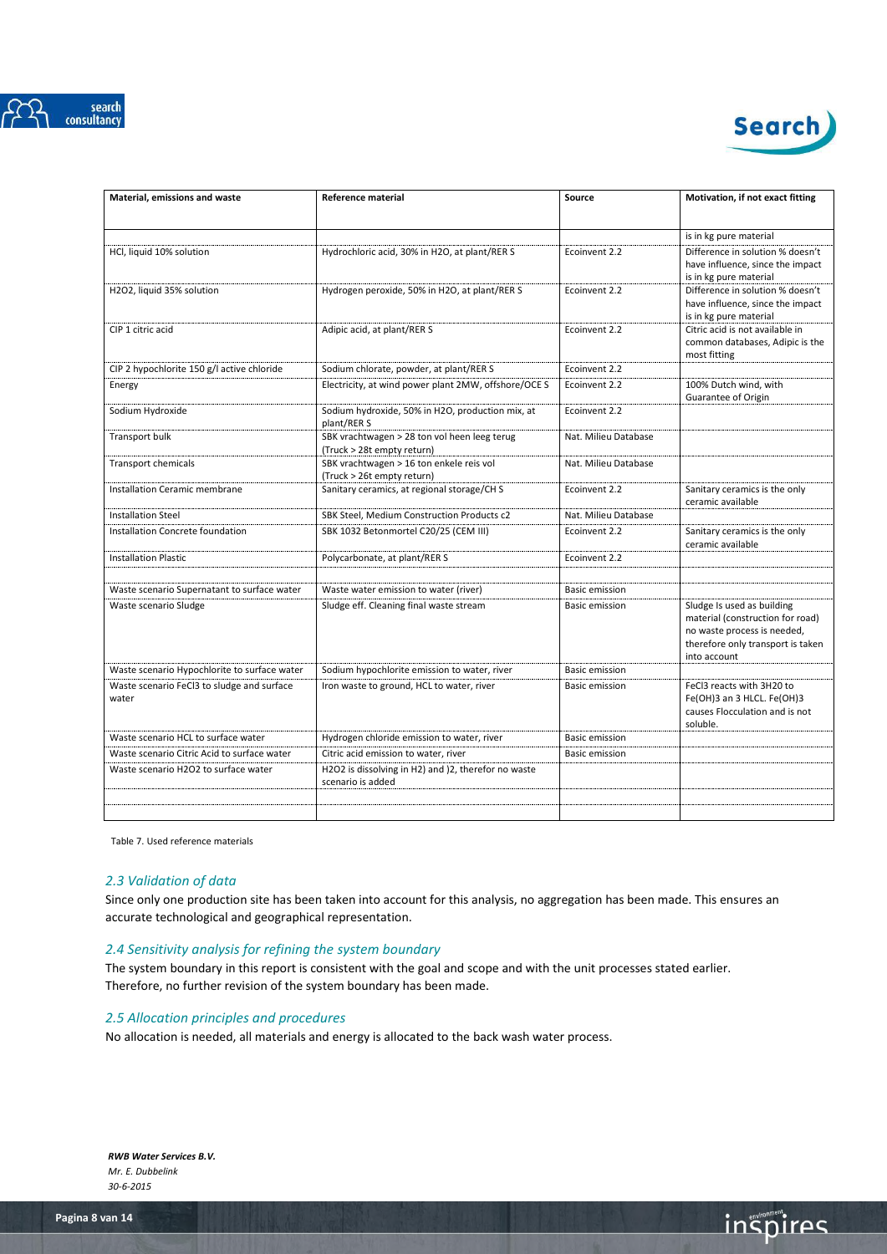



| Material, emissions and waste                       | Reference material                                                         | Source                | Motivation, if not exact fitting                                                                                                                   |
|-----------------------------------------------------|----------------------------------------------------------------------------|-----------------------|----------------------------------------------------------------------------------------------------------------------------------------------------|
|                                                     |                                                                            |                       | is in kg pure material                                                                                                                             |
| HCl, liquid 10% solution                            | Hydrochloric acid, 30% in H2O, at plant/RER S                              | Ecoinvent 2.2         | Difference in solution % doesn't<br>have influence, since the impact<br>is in kg pure material                                                     |
| H2O2, liquid 35% solution                           | Hydrogen peroxide, 50% in H2O, at plant/RER S                              | Ecoinvent 2.2         | Difference in solution % doesn't<br>have influence, since the impact<br>is in kg pure material                                                     |
| CIP 1 citric acid                                   | Adipic acid, at plant/RER S                                                | Ecoinvent 2.2         | Citric acid is not available in<br>common databases, Adipic is the<br>most fitting                                                                 |
| CIP 2 hypochlorite 150 g/l active chloride          | Sodium chlorate, powder, at plant/RER S                                    | Ecoinvent 2.2         |                                                                                                                                                    |
| Energy                                              | Electricity, at wind power plant 2MW, offshore/OCE S                       | Ecoinvent 2.2         | 100% Dutch wind, with<br>Guarantee of Origin                                                                                                       |
| Sodium Hydroxide                                    | Sodium hydroxide, 50% in H2O, production mix, at<br>plant/RER S            | Ecoinvent 2.2         |                                                                                                                                                    |
| <b>Transport bulk</b>                               | SBK vrachtwagen > 28 ton vol heen leeg terug<br>(Truck > 28t empty return) | Nat. Milieu Database  |                                                                                                                                                    |
| Transport chemicals                                 | SBK vrachtwagen > 16 ton enkele reis vol<br>(Truck > 26t empty return)     | Nat. Milieu Database  |                                                                                                                                                    |
| Installation Ceramic membrane                       | Sanitary ceramics, at regional storage/CHS                                 | Ecoinvent 2.2         | Sanitary ceramics is the only<br>ceramic available                                                                                                 |
| <b>Installation Steel</b>                           | SBK Steel. Medium Construction Products c2                                 | Nat. Milieu Database  |                                                                                                                                                    |
| Installation Concrete foundation                    | SBK 1032 Betonmortel C20/25 (CEM III)                                      | Ecoinvent 2.2         | Sanitary ceramics is the only<br>ceramic available                                                                                                 |
| <b>Installation Plastic</b>                         | Polycarbonate, at plant/RER S                                              | Ecoinvent 2.2         |                                                                                                                                                    |
|                                                     |                                                                            |                       |                                                                                                                                                    |
| Waste scenario Supernatant to surface water         | Waste water emission to water (river)                                      | <b>Basic emission</b> |                                                                                                                                                    |
| Waste scenario Sludge                               | Sludge eff. Cleaning final waste stream                                    | <b>Basic emission</b> | Sludge Is used as building<br>material (construction for road)<br>no waste process is needed,<br>therefore only transport is taken<br>into account |
| Waste scenario Hypochlorite to surface water        | Sodium hypochlorite emission to water, river                               | <b>Basic emission</b> |                                                                                                                                                    |
| Waste scenario FeCl3 to sludge and surface<br>water | Iron waste to ground, HCL to water, river                                  | <b>Basic emission</b> | FeCl3 reacts with 3H20 to<br>Fe(OH)3 an 3 HLCL. Fe(OH)3<br>causes Flocculation and is not<br>soluble.                                              |
| Waste scenario HCL to surface water                 | Hydrogen chloride emission to water, river                                 | <b>Basic emission</b> |                                                                                                                                                    |
| Waste scenario Citric Acid to surface water         | Citric acid emission to water, river                                       | <b>Basic emission</b> |                                                                                                                                                    |
| Waste scenario H2O2 to surface water                | H2O2 is dissolving in H2) and (2, therefor no waste<br>scenario is added   |                       |                                                                                                                                                    |
|                                                     |                                                                            |                       |                                                                                                                                                    |
|                                                     |                                                                            |                       |                                                                                                                                                    |

Table 7. Used reference materials

# <span id="page-7-0"></span>*2.3 Validation of data*

Since only one production site has been taken into account for this analysis, no aggregation has been made. This ensures an accurate technological and geographical representation.

# <span id="page-7-1"></span>*2.4 Sensitivity analysis for refining the system boundary*

The system boundary in this report is consistent with the goal and scope and with the unit processes stated earlier. Therefore, no further revision of the system boundary has been made.

# <span id="page-7-2"></span>*2.5 Allocation principles and procedures*

No allocation is needed, all materials and energy is allocated to the back wash water process.

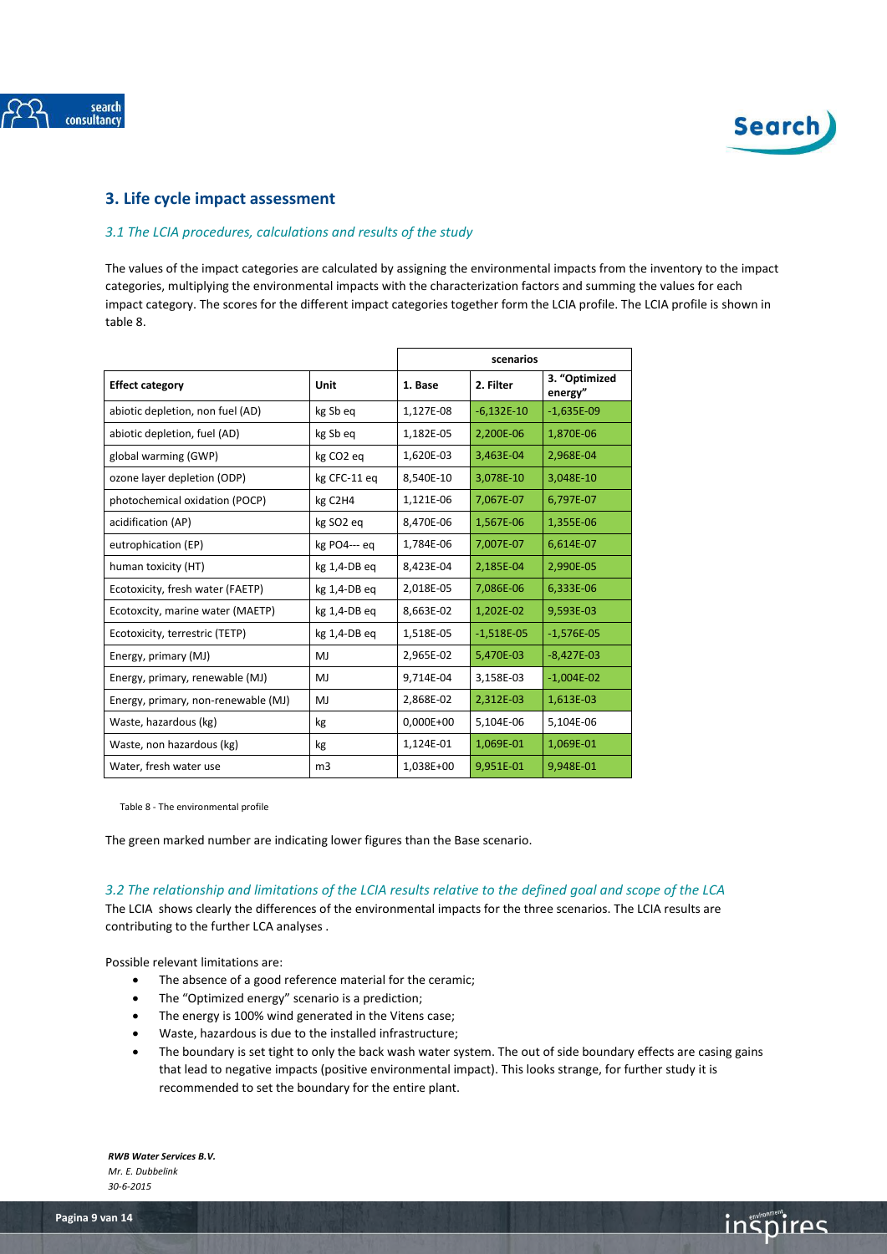



# <span id="page-8-1"></span><span id="page-8-0"></span>**3. Life cycle impact assessment**

# *3.1 The LCIA procedures, calculations and results of the study*

The values of the impact categories are calculated by assigning the environmental impacts from the inventory to the impact categories, multiplying the environmental impacts with the characterization factors and summing the values for each impact category. The scores for the different impact categories together form the LCIA profile. The LCIA profile is shown in table 8.

|                                     |                       | scenarios   |              |                          |
|-------------------------------------|-----------------------|-------------|--------------|--------------------------|
| <b>Effect category</b>              | Unit                  | 1. Base     | 2. Filter    | 3. "Optimized<br>energy" |
| abiotic depletion, non fuel (AD)    | kg Sb eq              | 1,127E-08   | $-6,132E-10$ | $-1,635E-09$             |
| abiotic depletion, fuel (AD)        | kg Sb eq              | 1,182E-05   | 2,200E-06    | 1,870E-06                |
| global warming (GWP)                | kg CO <sub>2</sub> eq | 1,620E-03   | 3,463E-04    | 2,968E-04                |
| ozone layer depletion (ODP)         | kg CFC-11 eq          | 8,540E-10   | 3,078E-10    | 3,048E-10                |
| photochemical oxidation (POCP)      | kg C2H4               | 1,121E-06   | 7,067E-07    | 6,797E-07                |
| acidification (AP)                  | kg SO <sub>2</sub> eg | 8,470E-06   | 1,567E-06    | 1,355E-06                |
| eutrophication (EP)                 | kg PO4--- eg          | 1,784E-06   | 7,007E-07    | 6,614E-07                |
| human toxicity (HT)                 | kg 1,4-DB eq          | 8,423E-04   | 2,185E-04    | 2,990E-05                |
| Ecotoxicity, fresh water (FAETP)    | kg 1,4-DB eg          | 2,018E-05   | 7,086E-06    | 6,333E-06                |
| Ecotoxcity, marine water (MAETP)    | kg 1,4-DB eg          | 8,663E-02   | 1,202E-02    | 9,593E-03                |
| Ecotoxicity, terrestric (TETP)      | kg 1,4-DB eg          | 1,518E-05   | $-1,518E-05$ | $-1,576E-05$             |
| Energy, primary (MJ)                | MJ                    | 2,965E-02   | 5,470E-03    | $-8,427E-03$             |
| Energy, primary, renewable (MJ)     | MJ                    | 9,714E-04   | 3,158E-03    | $-1,004E-02$             |
| Energy, primary, non-renewable (MJ) | MJ                    | 2,868E-02   | 2,312E-03    | 1,613E-03                |
| Waste, hazardous (kg)               | kg                    | $0,000E+00$ | 5,104E-06    | 5,104E-06                |
| Waste, non hazardous (kg)           | kg                    | 1,124E-01   | 1,069E-01    | 1,069E-01                |
| Water, fresh water use              | m <sub>3</sub>        | 1,038E+00   | 9,951E-01    | 9,948E-01                |

Table 8 - The environmental profile

The green marked number are indicating lower figures than the Base scenario.

<span id="page-8-2"></span>*3.2 The relationship and limitations of the LCIA results relative to the defined goal and scope of the LCA*

The LCIA shows clearly the differences of the environmental impacts for the three scenarios. The LCIA results are contributing to the further LCA analyses .

Possible relevant limitations are:

- The absence of a good reference material for the ceramic;
- The "Optimized energy" scenario is a prediction;
- The energy is 100% wind generated in the Vitens case;
- Waste, hazardous is due to the installed infrastructure;
- The boundary is set tight to only the back wash water system. The out of side boundary effects are casing gains that lead to negative impacts (positive environmental impact). This looks strange, for further study it is recommended to set the boundary for the entire plant.

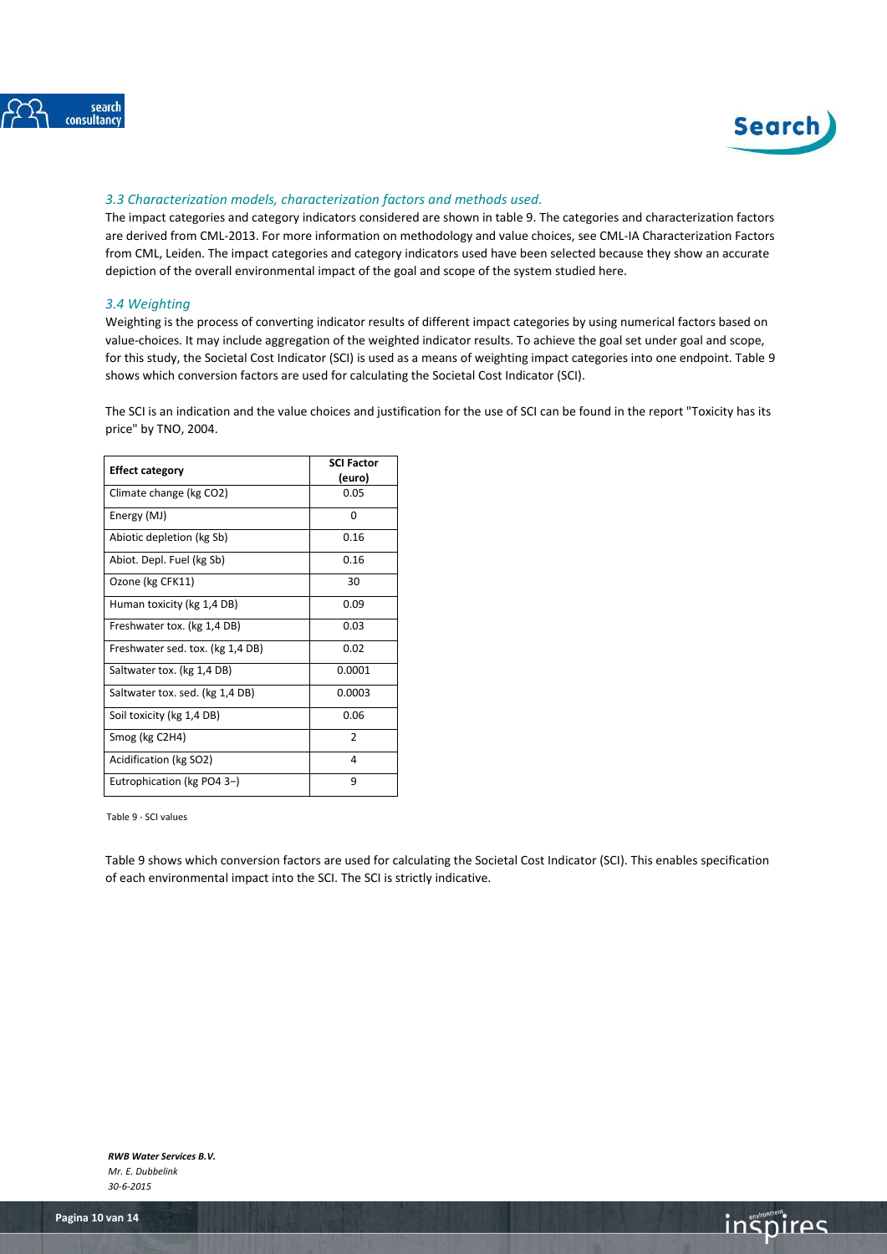



# <span id="page-9-0"></span>*3.3 Characterization models, characterization factors and methods used.*

The impact categories and category indicators considered are shown in table 9. The categories and characterization factors are derived from CML-2013. For more information on methodology and value choices, see CML-IA Characterization Factors from CML, Leiden. The impact categories and category indicators used have been selected because they show an accurate depiction of the overall environmental impact of the goal and scope of the system studied here.

### <span id="page-9-1"></span>*3.4 Weighting*

Weighting is the process of converting indicator results of different impact categories by using numerical factors based on value-choices. It may include aggregation of the weighted indicator results. To achieve the goal set under goal and scope, for this study, the Societal Cost Indicator (SCI) is used as a means of weighting impact categories into one endpoint. Table 9 shows which conversion factors are used for calculating the Societal Cost Indicator (SCI).

The SCI is an indication and the value choices and justification for the use of SCI can be found in the report "Toxicity has its price" by TNO, 2004.

| <b>Effect category</b>           | <b>SCI Factor</b><br>(euro) |
|----------------------------------|-----------------------------|
| Climate change (kg CO2)          | 0.05                        |
| Energy (MJ)                      | $\Omega$                    |
| Abiotic depletion (kg Sb)        | 0.16                        |
| Abiot. Depl. Fuel (kg Sb)        | 0.16                        |
| Ozone (kg CFK11)                 | 30                          |
| Human toxicity (kg 1,4 DB)       | 0.09                        |
| Freshwater tox. (kg 1,4 DB)      | 0.03                        |
| Freshwater sed. tox. (kg 1,4 DB) | 0.02                        |
| Saltwater tox. (kg 1,4 DB)       | 0.0001                      |
| Saltwater tox. sed. (kg 1,4 DB)  | 0.0003                      |
| Soil toxicity (kg 1,4 DB)        | 0.06                        |
| Smog (kg C2H4)                   | $\overline{2}$              |
| Acidification (kg SO2)           | 4                           |
| Eutrophication (kg PO4 3-)       | 9                           |

Table 9 - SCI values

Table 9 shows which conversion factors are used for calculating the Societal Cost Indicator (SCI). This enables specification of each environmental impact into the SCI. The SCI is strictly indicative.

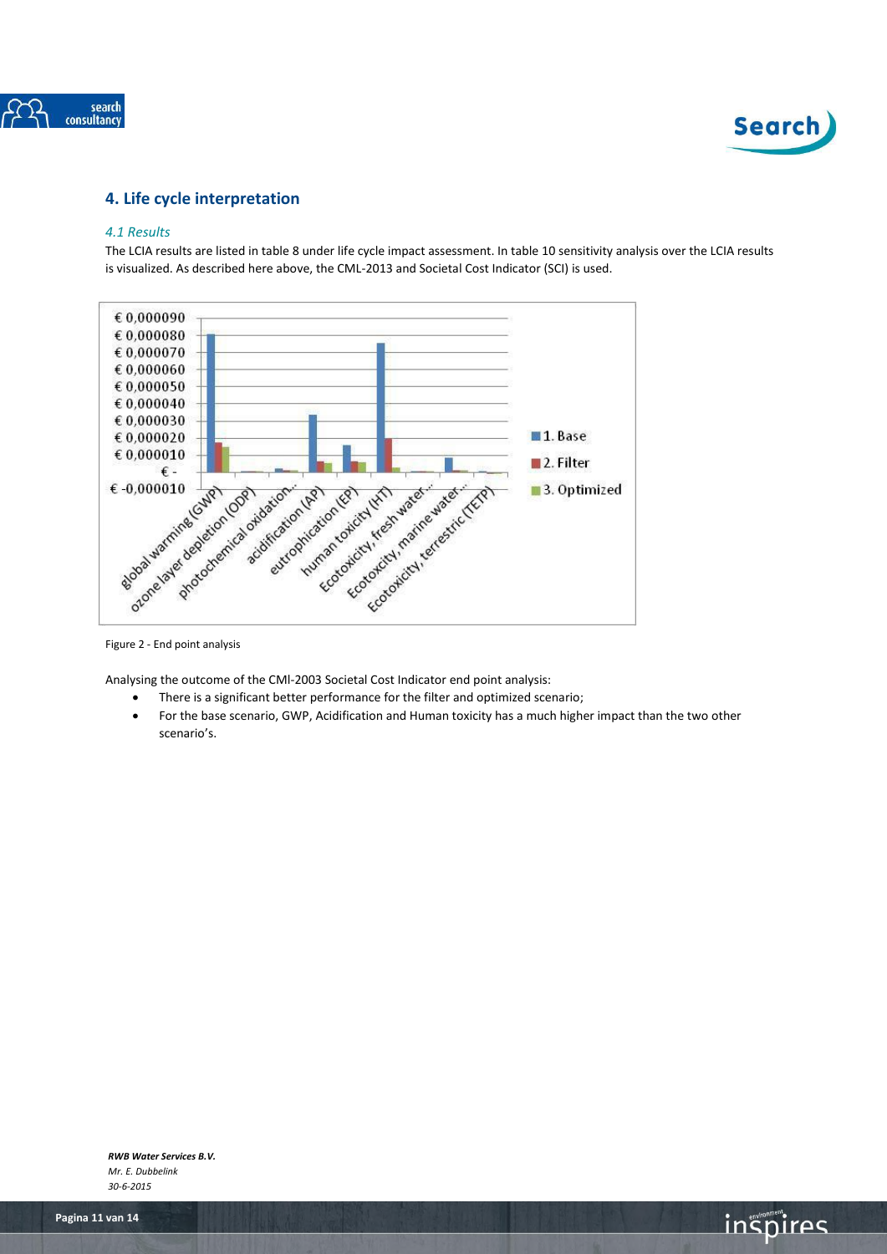



# <span id="page-10-1"></span><span id="page-10-0"></span>**4. Life cycle interpretation**

### *4.1 Results*

The LCIA results are listed in table 8 under life cycle impact assessment. In table 10 sensitivity analysis over the LCIA results is visualized. As described here above, the CML-2013 and Societal Cost Indicator (SCI) is used.



Figure 2 - End point analysis

Analysing the outcome of the CMl-2003 Societal Cost Indicator end point analysis:

- There is a significant better performance for the filter and optimized scenario;
- For the base scenario, GWP, Acidification and Human toxicity has a much higher impact than the two other scenario's.

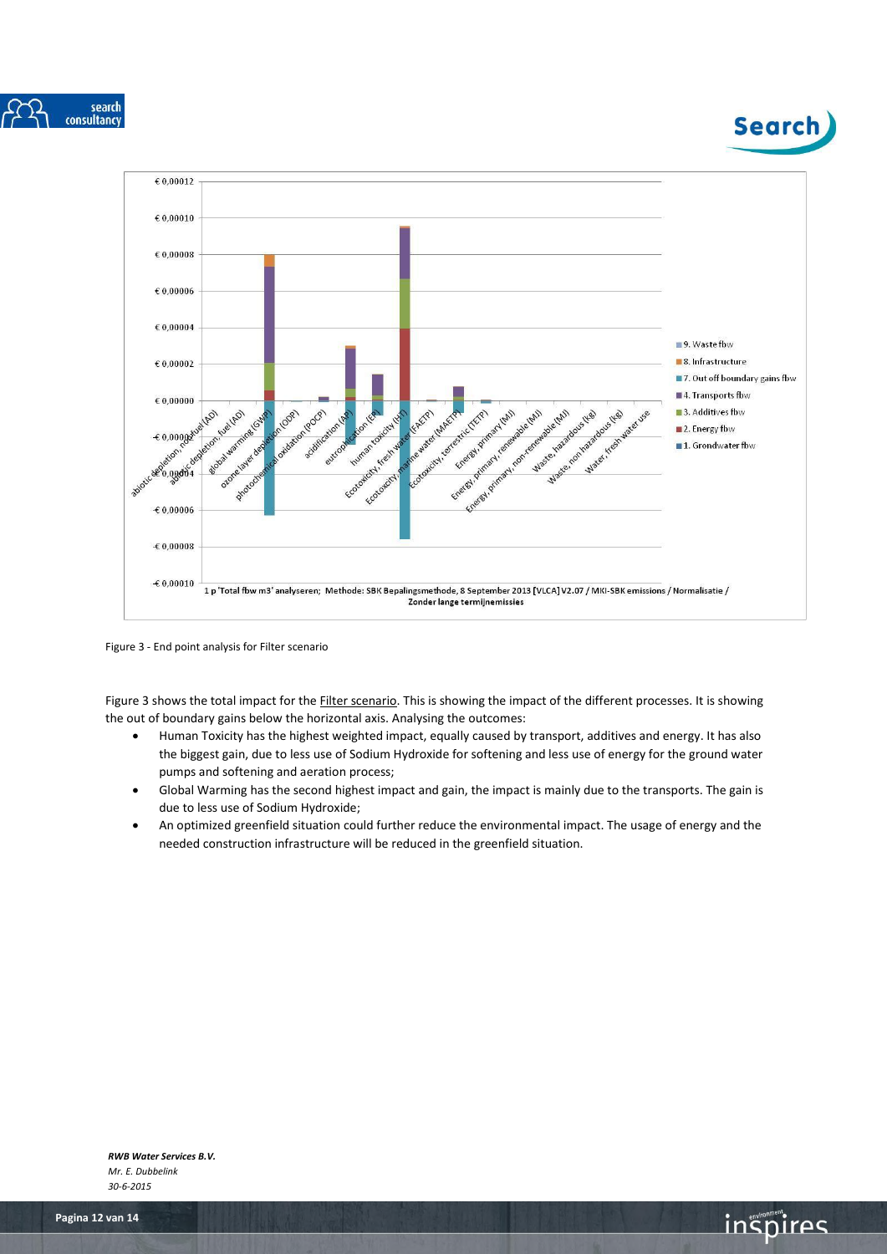





Figure 3 - End point analysis for Filter scenario

Figure 3 shows the total impact for the Filter scenario. This is showing the impact of the different processes. It is showing the out of boundary gains below the horizontal axis. Analysing the outcomes:

- Human Toxicity has the highest weighted impact, equally caused by transport, additives and energy. It has also the biggest gain, due to less use of Sodium Hydroxide for softening and less use of energy for the ground water pumps and softening and aeration process;
- Global Warming has the second highest impact and gain, the impact is mainly due to the transports. The gain is due to less use of Sodium Hydroxide;
- An optimized greenfield situation could further reduce the environmental impact. The usage of energy and the needed construction infrastructure will be reduced in the greenfield situation.

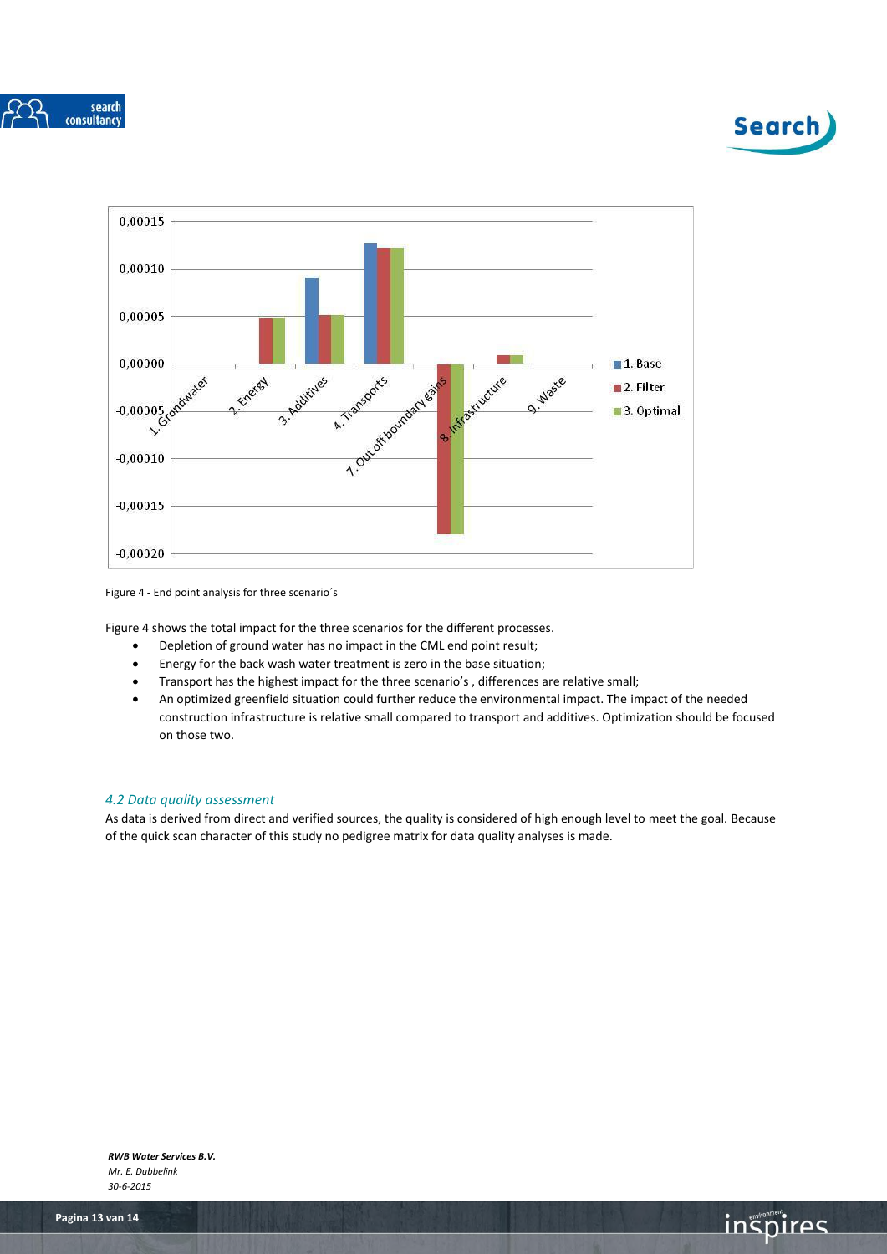





Figure 4 - End point analysis for three scenario´s

Figure 4 shows the total impact for the three scenarios for the different processes.

- Depletion of ground water has no impact in the CML end point result;
- Energy for the back wash water treatment is zero in the base situation;
- Transport has the highest impact for the three scenario's , differences are relative small;
- An optimized greenfield situation could further reduce the environmental impact. The impact of the needed construction infrastructure is relative small compared to transport and additives. Optimization should be focused on those two.

# <span id="page-12-0"></span>*4.2 Data quality assessment*

As data is derived from direct and verified sources, the quality is considered of high enough level to meet the goal. Because of the quick scan character of this study no pedigree matrix for data quality analyses is made.